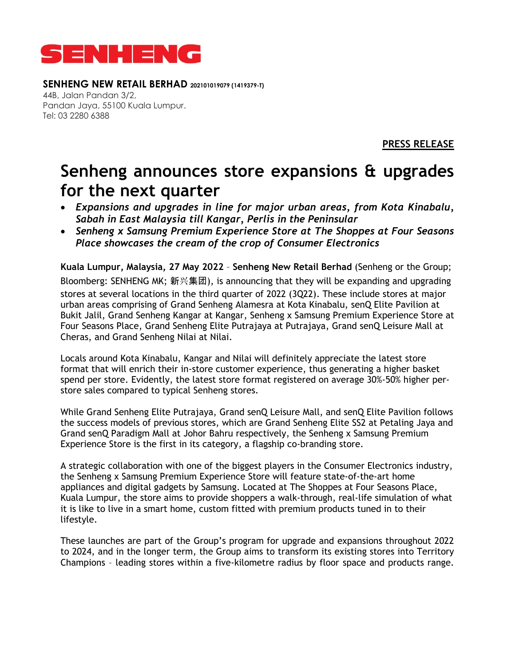

## **SENHENG NEW RETAIL BERHAD 202101019079 (1419379-T)**

44B, Jalan Pandan 3/2, Pandan Jaya, 55100 Kuala Lumpur. Tel: 03 2280 6388

**PRESS RELEASE**

## **Senheng announces store expansions & upgrades for the next quarter**

- *Expansions and upgrades in line for major urban areas, from Kota Kinabalu, Sabah in East Malaysia till Kangar, Perlis in the Peninsular*
- *Senheng x Samsung Premium Experience Store at The Shoppes at Four Seasons Place showcases the cream of the crop of Consumer Electronics*

**Kuala Lumpur, Malaysia, 27 May 2022** – **Senheng New Retail Berhad** (Senheng or the Group; Bloomberg: SENHENG MK; 新兴集团), is announcing that they will be expanding and upgrading stores at several locations in the third quarter of 2022 (3Q22). These include stores at major urban areas comprising of Grand Senheng Alamesra at Kota Kinabalu, senQ Elite Pavilion at Bukit Jalil, Grand Senheng Kangar at Kangar, Senheng x Samsung Premium Experience Store at Four Seasons Place, Grand Senheng Elite Putrajaya at Putrajaya, Grand senQ Leisure Mall at Cheras, and Grand Senheng Nilai at Nilai.

Locals around Kota Kinabalu, Kangar and Nilai will definitely appreciate the latest store format that will enrich their in-store customer experience, thus generating a higher basket spend per store. Evidently, the latest store format registered on average 30%-50% higher perstore sales compared to typical Senheng stores.

While Grand Senheng Elite Putrajaya, Grand senQ Leisure Mall, and senQ Elite Pavilion follows the success models of previous stores, which are Grand Senheng Elite SS2 at Petaling Jaya and Grand senQ Paradigm Mall at Johor Bahru respectively, the Senheng x Samsung Premium Experience Store is the first in its category, a flagship co-branding store.

A strategic collaboration with one of the biggest players in the Consumer Electronics industry, the Senheng x Samsung Premium Experience Store will feature state-of-the-art home appliances and digital gadgets by Samsung. Located at The Shoppes at Four Seasons Place, Kuala Lumpur, the store aims to provide shoppers a walk-through, real-life simulation of what it is like to live in a smart home, custom fitted with premium products tuned in to their lifestyle.

These launches are part of the Group's program for upgrade and expansions throughout 2022 to 2024, and in the longer term, the Group aims to transform its existing stores into Territory Champions – leading stores within a five-kilometre radius by floor space and products range.